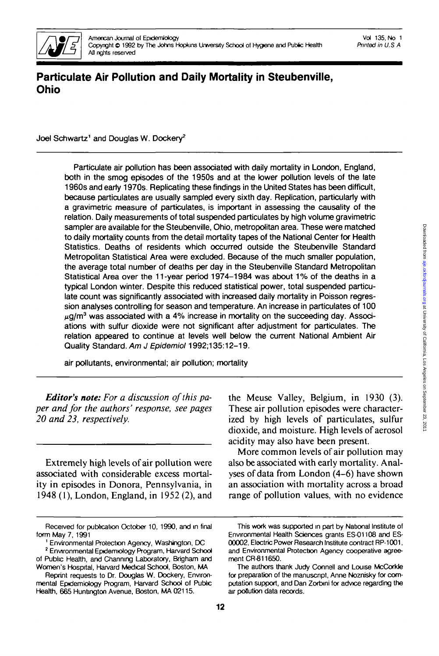

# **Particulate Air Pollution and Daily Mortality in Steubenville, Ohio**

Joel Schwartz<sup>1</sup> and Douglas W. Dockery<sup>2</sup>

Particulate air pollution has been associated with daily mortality in London, England, both in the smog episodes of the 1950s and at the lower pollution levels of the late 1960s and early 1970s. Replicating these findings in the United States has been difficult, because particulates are usually sampled every sixth day. Replication, particularly with a gravimetric measure of particulates, is important in assessing the causality of the relation. Daily measurements of total suspended particulates by high volume gravimetric sampler are available for the Steubenville, Ohio, metropolitan area. These were matched to daily mortality counts from the detail mortality tapes of the National Center for Health Statistics. Deaths of residents which occurred outside the Steubenville Standard Metropolitan Statistical Area were excluded. Because of the much smaller population, the average total number of deaths per day in the Steubenville Standard Metropolitan Statistical Area over the 11 -year period 1974-1984 was about 1 % of the deaths in a typical London winter. Despite this reduced statistical power, total suspended particulate count was significantly associated with increased daily mortality in Poisson regression analyses controlling for season and temperature. An increase in particulates of 100 zon alwayses community in the comparison in mortality on the succeeding day. Associ-<br>ug/m<sup>3</sup> was associated with a 4% increase in mortality on the succeeding day. Associations with sulfur dioxide were not significant after adjustment for particulates. The relation appeared to continue at levels well below the current National Ambient Air Quality Standard. Am J Epidemiol 1992;135:12-19.

air pollutants, environmental; air pollution; mortality

*Editor's note: For a discussion of this paper and for the authors' response, see pages 20 and 23, respectively.*

Extremely high levels of air pollution were associated with considerable excess mortality in episodes in Donora, Pennsylvania, in 1948 (1), London, England, in 1952 (2), and

the Meuse Valley, Belgium, in 1930 (3). These air pollution episodes were characterized by high levels of particulates, sulfur dioxide, and moisture. High levels of aerosol acidity may also have been present.

More common levels of air pollution may also be associated with early mortality. Analyses of data from London (4-6) have shown an association with mortality across a broad range of pollution values, with no evidence

Received for publication October 10, 1990, and in final form May 7, 1991

<sup>&#</sup>x27; Environmental Protection Agency, Washington, DC 2 Environmental Epidemiology Program, Harvard School of Public Health, and Channing Laboratory, Brigham and Women's Hospital, Harvard Medical School, Boston, MA

Reprint requests to Dr. Douglas W. Dockery, Environmental Epidemiology Program, Harvard School of Public Health, 665 Huntmgton Avenue, Boston, MA 02115.

This work was supported in part by National Institute of Environmental Health Sciences grants ES-01108 and ES-00002, Electric Power Research Institute contract RP-1001, and Environmental Protection Agency cooperative agreement CR-811650.

The authors thank Judy Connell and Louise McCorkle for preparation of the manuscript, Anne Noznisky for computation support, and Dan Zorbini for advice regarding the air pollution data records.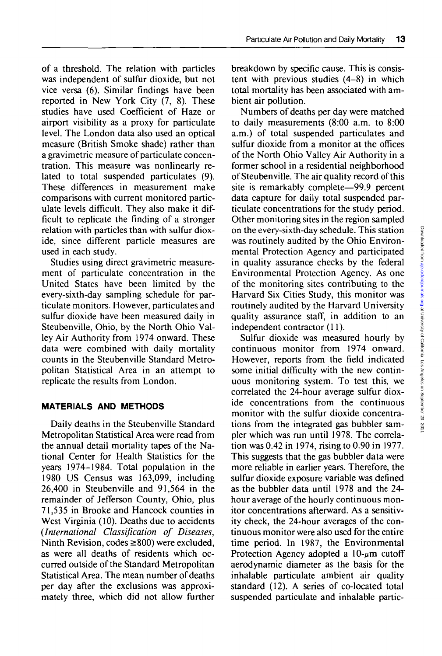of a threshold. The relation with particles was independent of sulfur dioxide, but not vice versa (6). Similar findings have been reported in New York City (7, 8). These studies have used Coefficient of Haze or airport visibility as a proxy for particulate level. The London data also used an optical measure (British Smoke shade) rather than a gravimetric measure of particulate concentration. This measure was nonlinearly related to total suspended particulates (9). These differences in measurement make comparisons with current monitored particulate levels difficult. They also make it difficult to replicate the finding of a stronger relation with particles than with sulfur dioxide, since different particle measures are used in each study.

Studies using direct gravimetric measurement of particulate concentration in the United States have been limited by the every-sixth-day sampling schedule for particulate monitors. However, particulates and sulfur dioxide have been measured daily in Steubenville, Ohio, by the North Ohio Valley Air Authority from 1974 onward. These data were combined with daily mortality counts in the Steubenville Standard Metropolitan Statistical Area in an attempt to replicate the results from London.

## **MATERIALS AND METHODS**

Daily deaths in the Steubenville Standard Metropolitan Statistical Area were read from the annual detail mortality tapes of the National Center for Health Statistics for the years 1974-1984. Total population in the 1980 US Census was 163,099, including 26,400 in Steubenville and 91,564 in the remainder of Jefferson County, Ohio, plus 71,535 in Brooke and Hancock counties in West Virginia (10). Deaths due to accidents *(International Classification of Diseases,* Ninth Revision, codes  $\geq 800$ ) were excluded, as were all deaths of residents which occurred outside of the Standard Metropolitan Statistical Area. The mean number of deaths per day after the exclusions was approximately three, which did not allow further

breakdown by specific cause. This is consistent with previous studies (4-8) in which total mortality has been associated with ambient air pollution.

Numbers of deaths per day were matched to daily measurements (8:00 a.m. to 8:00 a.m.) of total suspended particulates and sulfur dioxide from a monitor at the offices of the North Ohio Valley Air Authority in a former school in a residential neighborhood of Steubenville. The air quality record of this site is remarkably complete—99.9 percent data capture for daily total suspended particulate concentrations for the study period. Other monitoring sites in the region sampled on the every-sixth-day schedule. This station was routinely audited by the Ohio Environmental Protection Agency and participated in quality assurance checks by the federal Environmental Protection Agency. As one of the monitoring sites contributing to the Harvard Six Cities Study, this monitor was routinely audited by the Harvard University quality assurance staff, in addition to an independent contractor (11).

Sulfur dioxide was measured hourly by continuous monitor from 1974 onward. However, reports from the field indicated some initial difficulty with the new continuous monitoring system. To test this, we correlated the 24-hour average sulfur dioxide concentrations from the continuous monitor with the sulfur dioxide concentrations from the integrated gas bubbler sampler which was run until 1978. The correlation was 0.42 in 1974, rising to 0.90 in 1977. This suggests that the gas bubbler data were more reliable in earlier years. Therefore, the sulfur dioxide exposure variable was defined as the bubbler data until 1978 and the 24 hour average of the hourly continuous monitor concentrations afterward. As a sensitivity check, the 24-hour averages of the continuous monitor were also used for the entire time period. In 1987, the Environmental Protection Agency adopted a  $10$ - $\mu$ m cutoff aerodynamic diameter as the basis for the inhalable particulate ambient air quality standard (12). A series of co-located total suspended particulate and inhalable partic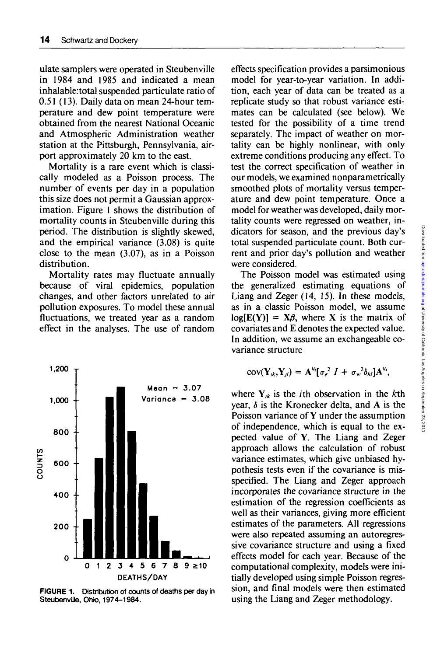ulate samplers were operated in Steubenville in 1984 and 1985 and indicated a mean inhalable: total suspended particulate ratio of 0.51 (13). Daily data on mean 24-hour temperature and dew point temperature were obtained from the nearest National Oceanic and Atmospheric Administration weather station at the Pittsburgh, Pennsylvania, airport approximately 20 km to the east.

Mortality is a rare event which is classically modeled as a Poisson process. The number of events per day in a population this size does not permit a Gaussian approximation. Figure 1 shows the distribution of mortality counts in Steubenville during this period. The distribution is slightly skewed, and the empirical variance (3.08) is quite close to the mean (3.07), as in a Poisson distribution.

Mortality rates may fluctuate annually because of viral epidemics, population changes, and other factors unrelated to air pollution exposures. To model these annual fluctuations, we treated year as a random effect in the analyses. The use of random



**FIGURE 1. Distribution of counts of deaths per day in SteubenviUe. Ohio, 1974-1984.**

effects specification provides a parsimonious model for year-to-year variation. In addition, each year of data can be treated as a replicate study so that robust variance estimates can be calculated (see below). We tested for the possibility of a time trend separately. The impact of weather on mortality can be highly nonlinear, with only extreme conditions producing any effect. To test the correct specification of weather in our models, we examined nonparametrically smoothed plots of mortality versus temperature and dew point temperature. Once a model for weather was developed, daily mortality counts were regressed on weather, indicators for season, and the previous day's total suspended particulate count. Both current and prior day's pollution and weather were considered.

The Poisson model was estimated using the generalized estimating equations of Liang and Zeger (14, 15). In these models, as in a classic Poisson model, we assume  $log[E(Y)] = X\beta$ , where X is the matrix of covariates and E denotes the expected value. In addition, we assume an exchangeable covariance structure

$$
cov(\mathbf{Y}_{ik},\mathbf{Y}_{jl})=\mathbf{A}^{kj}[\sigma_e^2 I + \sigma_w^2 \delta_{kl}]\mathbf{A}^{kj},
$$

where  $\mathbf{Y}_{ik}$  is the *i*th observation in the *k*th year,  $\delta$  is the Kronecker delta, and A is the Poisson variance of Y under the assumption of independence, which is equal to the expected value of Y. The Liang and Zeger approach allows the calculation of robust variance estimates, which give unbiased hypothesis tests even if the covariance is misspecified. The Liang and Zeger approach incorporates the covariance structure in the estimation of the regression coefficients as well as their variances, giving more efficient estimates of the parameters. All regressions were also repeated assuming an autoregressive covariance structure and using a fixed effects model for each year. Because of the computational complexity, models were initially developed using simple Poisson regression, and final models were then estimated using the Liang and Zeger methodology.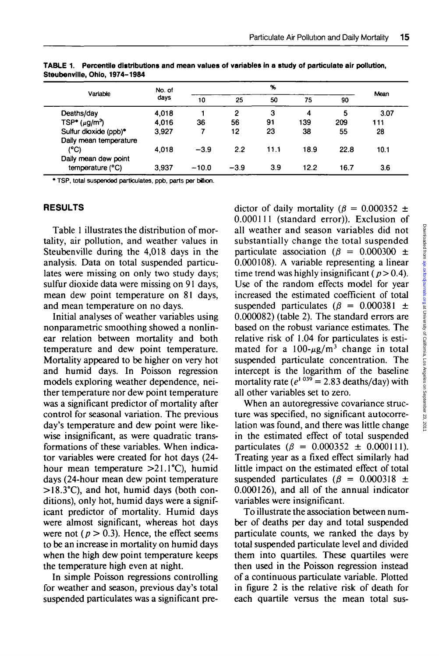| Variable                                    | No. of<br>days | %       |        |      |      |      | Mean |
|---------------------------------------------|----------------|---------|--------|------|------|------|------|
|                                             |                | 10      | 25     | 50   | 75   | 90   |      |
| Deaths/day                                  | 4,018          |         | 2      | з    | 4    | 5    | 3.07 |
| TSP <sup>+</sup> ( $\mu$ g/m <sup>3</sup> ) | 4.016          | 36      | 56     | 91   | 139  | 209  | 111  |
| Sulfur dioxide (ppb)*                       | 3,927          |         | 12     | 23   | 38   | 55   | 28   |
| Daily mean temperature                      |                |         |        |      |      |      |      |
| (°C)                                        | 4.018          | $-3.9$  | 2.2    | 11.1 | 18.9 | 22.8 | 10.1 |
| Daily mean dew point                        |                |         |        |      |      |      |      |
| temperature (°C)                            | 3,937          | $-10.0$ | $-3.9$ | 3.9  | 12.2 | 16.7 | 3.6  |

**TABLE 1. Percentile distributions and mean values of variables in a study of particulate air pollution, Steubenville, Ohio, 1974-1984**

' TSP, total suspended particulates, ppb, parts per biion.

### **RESULTS**

Table 1 illustrates the distribution of mortality, air pollution, and weather values in Steubenville during the 4,018 days in the analysis. Data on total suspended particulates were missing on only two study days; sulfur dioxide data were missing on 91 days, mean dew point temperature on 81 days, and mean temperature on no days.

Initial analyses of weather variables using nonparametric smoothing showed a nonlinear relation between mortality and both temperature and dew point temperature. Mortality appeared to be higher on very hot and humid days. In Poisson regression models exploring weather dependence, neither temperature nor dew point temperature was a significant predictor of mortality after control for seasonal variation. The previous day's temperature and dew point were likewise insignificant, as were quadratic transformations of these variables. When indicator variables were created for hot days (24 hour mean temperature >21.1°C), humid days (24-hour mean dew point temperature >18.3°C), and hot, humid days (both conditions), only hot, humid days were a significant predictor of mortality. Humid days were almost significant, whereas hot days were not  $(p > 0.3)$ . Hence, the effect seems to be an increase in mortality on humid days when the high dew point temperature keeps the temperature high even at night.

In simple Poisson regressions controlling for weather and season, previous day's total suspended particulates was a significant predictor of daily mortality  $(\beta = 0.000352 \pm \frac{1}{2})$ 0.000111 (standard error)). Exclusion of all weather and season variables did not substantially change the total suspended particulate association ( $\beta = 0.000300 \pm 1$ 0.000108). A variable representing a linear time trend was highly insignificant *(p>* 0.4). Use of the random effects model for year increased the estimated coefficient of total suspended particulates ( $\beta = 0.000381 \pm$ 0.000082) (table 2). The standard errors are based on the robust variance estimates. The relative risk of 1.04 for particulates is estimated for a  $100 - \mu$ g/m<sup>3</sup> change in total suspended particulate concentration. The intercept is the logarithm of the baseline mortality rate  $(e^{1039} = 2.83$  deaths/day) with all other variables set to zero.

When an autoregressive covariance structure was specified, no significant autocorrelation was found, and there was little change in the estimated effect of total suspended particulates ( $\beta = 0.000352 \pm 0.000111$ ). Treating year as a fixed effect similarly had little impact on the estimated effect of total suspended particulates ( $\beta = 0.000318 \pm 1$ 0.000126), and all of the annual indicator variables were insignificant.

To illustrate the association between number of deaths per day and total suspended particulate counts, we ranked the days by total suspended particulate level and divided them into quartiles. These quartiles were then used in the Poisson regression instead of a continuous particulate variable. Plotted in figure 2 is the relative risk of death for each quartile versus the mean total sus-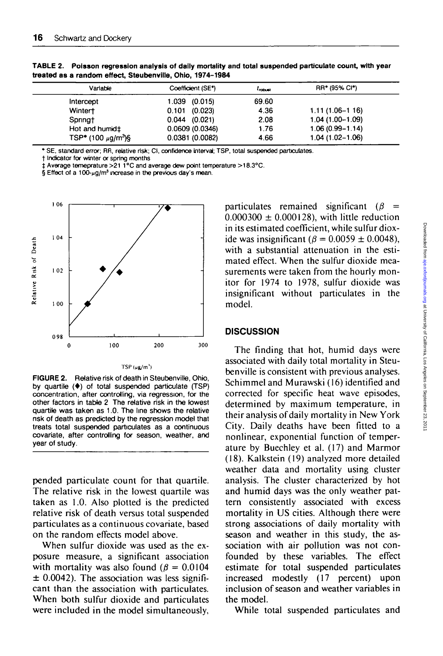| Variable                            | Coefficient (SE <sup>+</sup> ) | <i>I</i> robust | RR <sup>+</sup> (95% CI <sup>+</sup> ) |  |
|-------------------------------------|--------------------------------|-----------------|----------------------------------------|--|
| Intercept                           | $1.039$ $(0.015)$              | 69.60           |                                        |  |
| Wintert                             | (0.023)<br>0.101               | 4.36            | $1.11(1.06 - 116)$                     |  |
| Springt                             | $0.044$ $(0.021)$              | 2.08            | $1.04(1.00 - 1.09)$                    |  |
| Hot and humid‡                      | 0.0609(0.0346)                 | 1.76            | $1.06(0.99 - 1.14)$                    |  |
| TSP* (100 $\mu$ g/m <sup>3</sup> )§ | 0.0381(0.0082)                 | 4.66            | $1.04(1.02 - 1.06)$                    |  |

**TABLE 2. Poisson regression analysis of daily mortality and total suspended particulate count, with year treated as a random effect, Steubenville, Ohio, 1974-1984**

\* SE, standard error; RR, relative risk; Cl, confidence Interval; TSP, total suspended particulates.

t Indicator for winter or spring months

t Average temeprature >21 1 °C and average dew point temperature >18.3°C.

§ Effect of a 100- $\mu$ g/m<sup>3</sup> increase in the previous day's mean.



#### TSP $(\mu g/m')$

**FIGURE 2.** Relative risk of death in Steubenville, Ohio, by quartile (•) of total suspended particulate (TSP) concentration, after controlling, via regression, for the other factors in table 2 The relative risk in the lowest quartile was taken as 1.0. The line shows the relative nsk of death as predicted by the regression model that treats total suspended particulates as a continuous covariate, after controlling for season, weather, and year of study.

pended particulate count for that quartile. The relative risk in the lowest quartile was taken as 1.0. Also plotted is the predicted relative risk of death versus total suspended particulates as a continuous covariate, based on the random effects model above.

When sulfur dioxide was used as the exposure measure, a significant association with mortality was also found ( $\beta = 0.0104$ )  $\pm$  0.0042). The association was less significant than the association with particulates. When both sulfur dioxide and particulates were included in the model simultaneously,

particulates remained significant ( $\beta$  =  $0.000300 \pm 0.000128$ , with little reduction in its estimated coefficient, while sulfur dioxide was insignificant ( $\beta$  = 0.0059 ± 0.0048). with a substantial attenuation in the estimated effect. When the sulfur dioxide measurements were taken from the hourly monitor for 1974 to 1978, sulfur dioxide was insignificant without particulates in the model.

### **DISCUSSION**

The finding that hot, humid days were associated with daily total mortality in Steubenville is consistent with previous analyses. Schimmel and Murawski (16) identified and corrected for specific heat wave episodes, determined by maximum temperature, in their analysis of daily mortality in New York City. Daily deaths have been fitted to a nonlinear, exponential function of temperature by Buechley et al. (17) and Marmor (18). Kalkstein (19) analyzed more detailed weather data and mortality using cluster analysis. The cluster characterized by hot and humid days was the only weather pattern consistently associated with excess mortality in US cities. Although there were strong associations of daily mortality with season and weather in this study, the association with air pollution was not confounded by these variables. The effect estimate for total suspended particulates increased modestly (17 percent) upon inclusion of season and weather variables in the model.

While total suspended particulates and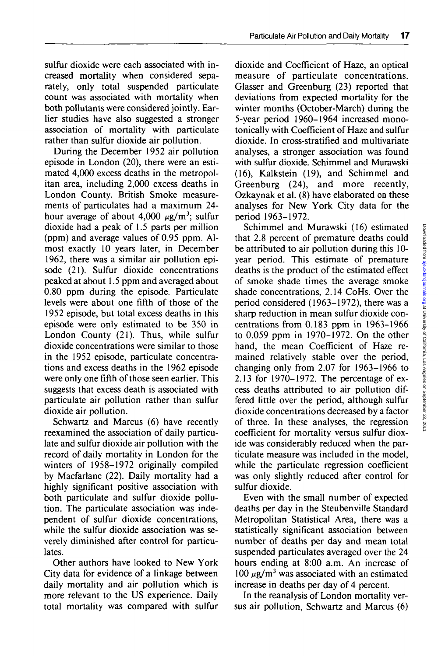sulfur dioxide were each associated with increased mortality when considered separately, only total suspended particulate count was associated with mortality when both pollutants were considered jointly. Earlier studies have also suggested a stronger association of mortality with particulate rather than sulfur dioxide air pollution.

During the December 1952 air pollution episode in London (20), there were an estimated 4,000 excess deaths in the metropolitan area, including 2,000 excess deaths in London County. British Smoke measurements of particulates had a maximum 24 hour average of about  $4,000 \mu g/m^3$ ; sulfur dioxide had a peak of 1.5 parts per million (ppm) and average values of 0.95 ppm. Almost exactly 10 years later, in December 1962, there was a similar air pollution episode (21). Sulfur dioxide concentrations peaked at about 1.5 ppm and averaged about 0.80 ppm during the episode. Particulate levels were about one fifth of those of the 1952 episode, but total excess deaths in this episode were only estimated to be 350 in London County (21). Thus, while sulfur dioxide concentrations were similar to those in the 1952 episode, particulate concentrations and excess deaths in the 1962 episode were only one fifth of those seen earlier. This suggests that excess death is associated with particulate air pollution rather than sulfur dioxide air pollution.

Schwartz and Marcus (6) have recently reexamined the association of daily particulate and sulfur dioxide air pollution with the record of daily mortality in London for the winters of 1958-1972 originally compiled by Macfarlane (22). Daily mortality had a highly significant positive association with both particulate and sulfur dioxide pollution. The particulate association was independent of sulfur dioxide concentrations, while the sulfur dioxide association was severely diminished after control for particulates.

Other authors have looked to New York City data for evidence of a linkage between daily mortality and air pollution which is more relevant to the US experience. Daily total mortality was compared with sulfur dioxide and Coefficient of Haze, an optical measure of particulate concentrations. Glasser and Greenburg (23) reported that deviations from expected mortality for the winter months (October-March) during the 5-year period 1960-1964 increased monotonically with Coefficient of Haze and sulfur dioxide. In cross-stratified and multivariate analyses, a stronger association was found with sulfur dioxide. Schimmel and Murawski (16), Kalkstein (19), and Schimmel and Greenburg (24), and more recently, Ozkaynak et al. (8) have elaborated on these analyses for New York City data for the period 1963-1972.

Schimmel and Murawski (16) estimated that 2.8 percent of premature deaths could be attributed to air pollution during this 10 year period. This estimate of premature deaths is the product of the estimated effect of smoke shade times the average smoke shade concentrations, 2.14 CoHs. Over the period considered (1963-1972), there was a sharp reduction in mean sulfur dioxide concentrations from 0.183 ppm in 1963-1966 to 0.059 ppm in 1970-1972. On the other hand, the mean Coefficient of Haze remained relatively stable over the period, changing only from 2.07 for 1963-1966 to 2.13 for 1970-1972. The percentage of excess deaths attributed to air pollution differed little over the period, although sulfur dioxide concentrations decreased by a factor of three. In these analyses, the regression coefficient for mortality versus sulfur dioxide was considerably reduced when the particulate measure was included in the model, while the particulate regression coefficient was only slightly reduced after control for sulfur dioxide.

Even with the small number of expected deaths per day in the Steubenville Standard Metropolitan Statistical Area, there was a statistically significant association between number of deaths per day and mean total suspended particulates averaged over the 24 hours ending at 8:00 a.m. An increase of  $100 \mu\text{g/m}^3$  was associated with an estimated increase in deaths per day of 4 percent.

In the reanalysis of London mortality versus air pollution, Schwartz and Marcus (6)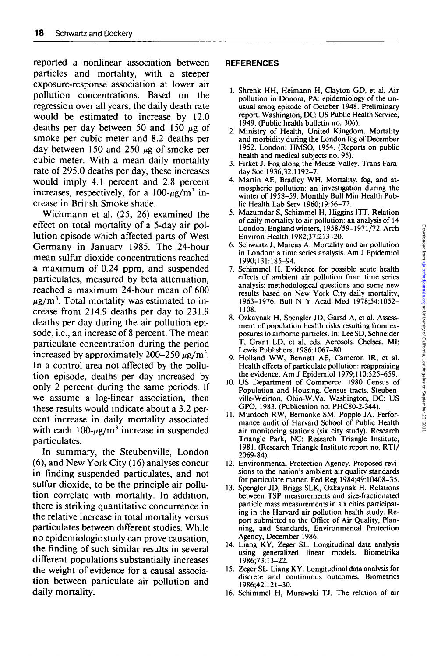reported a nonlinear association between particles and mortality, with a steeper exposure-response association at lower air pollution concentrations. Based on the regression over all years, the daily death rate would be estimated to increase by 12.0 deaths per day between 50 and 150  $\mu$ g of smoke per cubic meter and 8.2 deaths per day between 150 and 250  $\mu$ g of smoke per cubic meter. With a mean daily mortality rate of 295.0 deaths per day, these increases would imply 4.1 percent and 2.8 percent we the implies in perform and  $2.6$  performance performance increases, respectively, for a  $100$ - $\mu$ g/m<sup>3</sup> increase in British Smoke shade.

Wichmann et al. (25, 26) examined the effect on total mortality of a 5-day air pollution episode which affected parts of West Germany in January 1985. The 24-hour mean sulfur dioxide concentrations reached a maximum of 0.24 ppm, and suspended particulates, measured by beta attenuation, reached a maximum 24-hour mean of 600  $\mu$ g/m<sup>3</sup>. Total mortality was estimated to increase from 214.9 deaths per day to 231.9 deaths per day during the air pollution episode, i.e., an increase of 8 percent. The mean particulate concentration during the period increased by approximately  $200-250 \mu$ g/m<sup>3</sup>. In a control area not affected by the pollution episode, deaths per day increased by only 2 percent during the same periods. If we assume a log-linear association, then these results would indicate about a 3.2 percent increase in daily mortality associated with each  $100-y/m<sup>3</sup>$  increase in suspended particulates.

In summary, the Steubenville, London (6), and New York City (16) analyses concur in finding suspended particulates, and not sulfur dioxide, to be the principle air pollution correlate with mortality. In addition, there is striking quantitative concurrence in the relative increase in total mortality versus particulates between different studies. While no epidemiologic study can prove causation, the finding of such similar results in several different populations substantially increases the weight of evidence for a causal association between particulate air pollution and daily mortality.

## **REFERENCES**

- 1. Shrenk HH, Heimann H, Clayton GD, et al. Air pollution in Donora, PA: epidemiology of the unusual smog episode of October 1948. Preliminary report. Washington, DC: US Public Health Service, 1949. (Public health bulletin no. 306).
- 2. Ministry of Health, United Kingdom. Mortality and morbidity during the London fog of December 1952. London: HMSO, 1954. (Reports on public health and medical subjects no. 95).
- 3. Firket J. Fog along the Meuse Valley. Trans Faraday Soc 1936,32:1192-7.
- 4. Martin AE, Bradley WH. Mortality, fog, and atmospheric pollution: an investigation during the winter of 1958-59. Monthly Bull Min Health Public Health Lab Serv 1960; 19:56-72.
- 5. Mazumdar S, Schimmel H, Higgins ITT. Relation of daily mortality to air pollution: an analysis of 14 London, England winters, 1958/59-1971/72. Arch Environ Health 1982;37:213-20.
- 6. Schwartz J, Marcus A. Mortality and air pollution in London: a time series analysis. Am J Epidemiol 1990; 131:185-94.
- 7. Schimmel H. Evidence for possible acute health effects of ambient air pollution from time series analysis: methodological questions and some new results based on New York City daily mortality, 1963-1976. Bull N Y Acad Med 1978;54:1052- 1108.
- 8. Ozkaynak H, Spengler JD, Garsd A, et al. Assessment of population health risks resulting from exposures to airborne particles. In: Lee SD, Schneider T, Grant LD, et al, eds. Aerosols. Chelsea, Ml: Lewis Publishers, 1986:1067-80.
- 9. Holland WW, Bennett AE, Cameron IR, et al. Health effects of particulate pollution: reappraising the evidence. Am J Epidemiol 1979;110:525-659.
- 10. US Department of Commerce. 1980 Census of Population and Housing. Census tracts. Steubenville-Weirton, Ohio-W.Va. Washington, DC: US GPO, 1983. (Publication no. PHC80-2-344).
- 11. Murdoch RW, Bernanke SM, Popple JA. Performance audit of Harvard School of Public Health air monitoring stations (six city study). Research Triangle Park, NC: Research Triangle Institute, 1981. (Research Triangle Institute report no. RTI/ 2069-84).
- 12. Environmental Protection Agency. Proposed revisions to the nation's ambient air quality standards for particulate matter. Fed Reg 1984;49:10408-35.
- 13. Spengler JD, Briggs SLK, Ozkaynak H. Relations between TSP measurements and size-fractionated particle mass measurements in six cities participating in the Harvard air pollution health study. Report submitted to the Office of Air Quality, Planning, and Standards, Environmental Protection Agency, December 1986.
- 14. Liang KY, Zeger SL. Longitudinal data analysis using generalized linear models. Biometrika 1986;73:13-22.
- 15. Zeger SL, Liang KY. Longitudinal data analysis for discrete and continuous outcomes. Biometrics 1986;42:121-30.
- 16. Schimmel H, Murawski TJ. The relation of air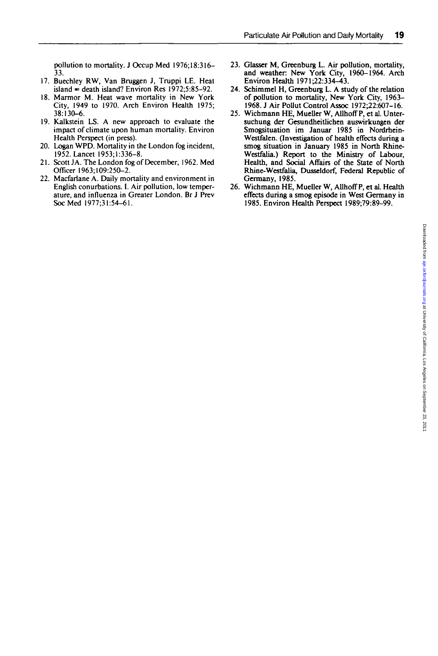pollution to mortality. J Occup Med 1976; 18:316- 33.

- 17. Buechley RW, Van Bruggen J, Truppi LE. Heat  $island = death island? Environ Res 1972; 5:85-92.$
- 18. Marmor M. Heat wave mortality in New York City, 1949 to 1970. Arch Environ Health 1975; 38:130-6.
- 19. Kalkstein LS. A new approach to evaluate the impact of climate upon human mortality. Environ Health Perspect (in press).
- 20. Logan WPD. Mortality in the London fog incident, 1952. Lancet 1953;l:336-8.
- 21. Scott JA. The London fog of December, 1962. Med Officer 1963;109:250-2.
- 22. Macfarlane A. Daily mortality and environment in English conurbations. I. Air pollution, low temperature, and influenza in Greater London. Br J Prev SocMed 1977;31:54-61.
- 23. Glasser M, Greenburg L. Air pollution, mortality, and weather: New York City, 1960-1964. Arch Environ Health 1971,22:334-43.
- 24. Schimmel H, Greenburg L. A study of the relation of pollution to mortality, New York City, 1963- 1968. J Air Pollut Control Assoc 1972^22:607-16.
- 25. Wichmann HE, Mueller W, AllhoffP, et al. Untersuchung der Gesundheitlichen auswirkungen der Smogsituation im Januar 1985 in Nordrhein-Westfalen. (Investigation of health effects during a smog situation in January 1985 in North Rhine-Westfalia.) Report to the Ministry of Labour, Health, and Social Affairs of the State of North Rhine-Westfalia, Dusseldorf, Federal Republic of Germany, 1985.
- 26. Wichmann HE, Mueller W, AllhoffP, et aL Health effects during a smog episode in West Germany in 1985. Environ Health Perspect 1989,79:89-99.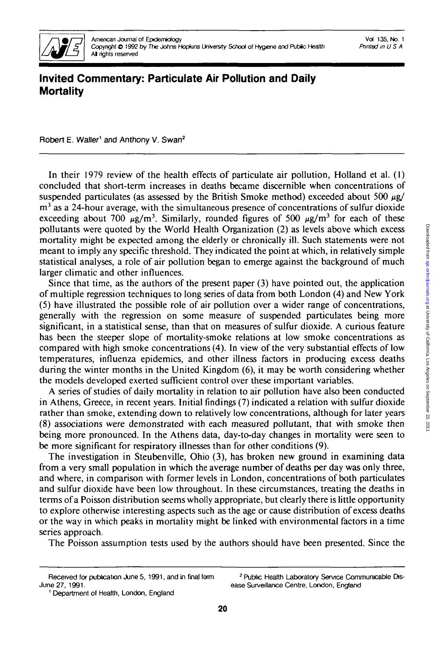

# **Invited Commentary: Particulate Air Pollution and Daily Mortality**

Robert E. Waller<sup>1</sup> and Anthony V. Swan<sup>2</sup>

In their 1979 review of the health effects of paniculate air pollution, Holland et al. (I) concluded that short-term increases in deaths became discernible when concentrations of suspended particulates (as assessed by the British Smoke method) exceeded about 500  $\mu$ g/ m<sup>3</sup> as a 24-hour average, with the simultaneous presence of concentrations of sulfur dioxide exceeding about 700  $\mu$ g/m<sup>3</sup>. Similarly, rounded figures of 500  $\mu$ g/m<sup>3</sup> for each of these pollutants were quoted by the World Health Organization (2) as levels above which excess mortality might be expected among the elderly or chronically ill. Such statements were not meant to imply any specific threshold. They indicated the point at which, in relatively simple statistical analyses, a role of air pollution began to emerge against the background of much larger climatic and other influences.

Since that time, as the authors of the present paper (3) have pointed out, the application of multiple regression techniques to long series of data from both London (4) and New York (5) have illustrated the possible role of air pollution over a wider range of concentrations, generally with the regression on some measure of suspended particulates being more significant, in a statistical sense, than that on measures of sulfur dioxide. A curious feature has been the steeper slope of mortality-smoke relations at low smoke concentrations as compared with high smoke concentrations (4). In view of the very substantial effects of low temperatures, influenza epidemics, and other illness factors in producing excess deaths during the winter months in the United Kingdom (6), it may be worth considering whether the models developed exerted sufficient control over these important variables.

A series of studies of daily mortality in relation to air pollution have also been conducted in Athens, Greece, in recent years. Initial findings (7) indicated a relation with sulfur dioxide rather than smoke, extending down to relatively low concentrations, although for later years (8) associations were demonstrated with each measured pollutant, that with smoke then being more pronounced. In the Athens data, day-to-day changes in mortality were seen to be more significant for respiratory illnesses than for other conditions (9).

The investigation in Steubenville, Ohio (3), has broken new ground in examining data from a very small population in which the average number of deaths per day was only three, and where, in comparison with former levels in London, concentrations of both particulates and sulfur dioxide have been low throughout. In these circumstances, treating the deaths in terms of a Poisson distribution seems wholly appropriate, but clearly there is little opportunity to explore otherwise interesting aspects such as the age or cause distribution of excess deaths or the way in which peaks in mortality might be linked with environmental factors in a time series approach.

The Poisson assumption tests used by the authors should have been presented. Since the

20

Received for publication June 5, 1991, and in final form June 27, 1991. ease Surveillance Centre, London, England

<sup>2</sup> Public Health Laboratory Service Commurucable Dis-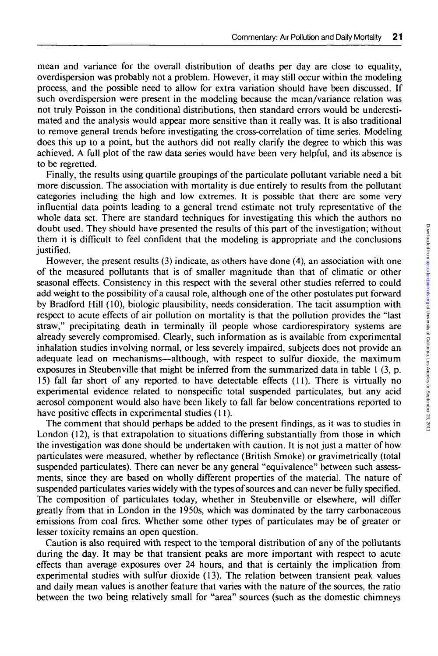mean and variance for the overall distribution of deaths per day are close to equality, overdispersion was probably not a problem. However, it may still occur within the modeling process, and the possible need to allow for extra variation should have been discussed. If such overdispersion were present in the modeling because the mean/variance relation was not truly Poisson in the conditional distributions, then standard errors would be underestimated and the analysis would appear more sensitive than it really was. It is also traditional to remove general trends before investigating the cross-correlation of time series. Modeling does this up to a point, but the authors did not really clarify the degree to which this was achieved. A full plot of the raw data series would have been very helpful, and its absence is to be regretted.

Finally, the results using quartile groupings of the paniculate pollutant variable need a bit more discussion. The association with mortality is due entirely to results from the pollutant categories including the high and low extremes. It is possible that there are some very influential data points leading to a general trend estimate not truly representative of the whole data set. There are standard techniques for investigating this which the authors no doubt used. They should have presented the results of this part of the investigation; without them it is difficult to feel confident that the modeling is appropriate and the conclusions justified.

However, the present results (3) indicate, as others have done (4), an association with one of the measured pollutants that is of smaller magnitude than that of climatic or other seasonal effects. Consistency in this respect with the several other studies referred to could add weight to the possibility of a causal role, although one of the other postulates put forward by Bradford Hill (10), biologic plausibility, needs consideration. The tacit assumption with respect to acute effects of air pollution on mortality is that the pollution provides the "last straw," precipitating death in terminally ill people whose cardiorespiratory systems are already severely compromised. Clearly, such information as is available from experimental inhalation studies involving normal, or less severely impaired, subjects does not provide an adequate lead on mechanisms—although, with respect to sulfur dioxide, the maximum exposures in Steubenville that might be inferred from the summarized data in table 1 (3, p. 15) fall far short of any reported to have detectable effects (11). There is virtually no experimental evidence related to nonspecific total suspended particulates, but any acid aerosol component would also have been likely to fall far below concentrations reported to have positive effects in experimental studies (11).

The comment that should perhaps be added to the present findings, as it was to studies in London (12), is that extrapolation to situations differing substantially from those in which the investigation was done should be undertaken with caution. It is not just a matter of how particulates were measured, whether by reflectance (British Smoke) or gravimetrically (total suspended particulates). There can never be any general "equivalence" between such assessments, since they are based on wholly different properties of the material. The nature of suspended particulates varies widely with the types of sources and can never be fully specified. The composition of particulates today, whether in Steubenville or elsewhere, will differ greatly from that in London in the 1950s, which was dominated by the tarry carbonaceous emissions from coal fires. Whether some other types of particulates may be of greater or lesser toxicity remains an open question.

Caution is also required with respect to the temporal distribution of any of the pollutants during the day. It may be that transient peaks are more important with respect to acute effects than average exposures over 24 hours, and that is certainly the implication from experimental studies with sulfur dioxide (13). The relation between transient peak values and daily mean values is another feature that varies with the nature of the sources, the ratio between the two being relatively small for "area" sources (such as the domestic chimneys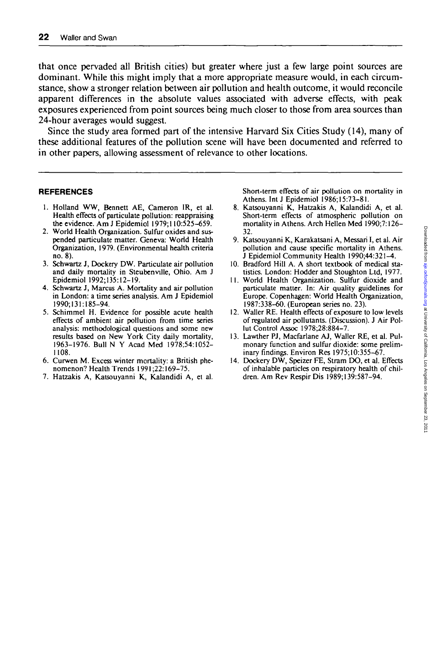that once pervaded all British cities) but greater where just a few large point sources are dominant. While this might imply that a more appropriate measure would, in each circumstance, show a stronger relation between air pollution and health outcome, it would reconcile apparent differences in the absolute values associated with adverse effects, with peak exposures experienced from point sources being much closer to those from area sources than 24-hour averages would suggest.

Since the study area formed part of the intensive Harvard Six Cities Study (14), many of these additional features of the pollution scene will have been documented and referred to in other papers, allowing assessment of relevance to other locations.

#### **REFERENCES**

- 1. Holland WW, Bennett AE, Cameron IR, et al. Health effects of paniculate pollution: reappraising the evidence. Am J Epidemiol 1979; 110:525-659.
- 2. World Health Organization. Sulfur oxides and suspended paniculate matter. Geneva: World Health Organization, 1979. (Environmental health criteria no. 8).
- 3. Schwartz J, Dockery DW. Paniculate air pollution and daily mortality in Steubenville, Ohio. Am J Epidemiol 1992; 135:12-19.
- 4. Schwartz J, Marcus A. Mortality and air pollution in London: a time series analysis. Am J Epidemiol 1990; 131:185-94.
- 5. Schimmel H. Evidence for possible acute health effects of ambient air pollution from time series analysis: methodological questions and some new results based on New York City daily mortality, 1963-1976. Bull N Y Acad Med 1978;54:1052- 1108.
- 6. Curwen M. Excess winter mortality: a British phenomenon? Health Trends 1991 ;22:169-75.
- 7. Hatzakis A, Katsouyanni K, Kalandidi A, et al.

Short-term effects of air pollution on mortality in Athens. Int J Epidemiol 1986; 15:73-81.

- 8. Katsouyanni K, Hatzakis A, Kalandidi A, et al. Short-term effects of atmospheric pollution on mortality in Athens. Arch Hellen Med 1990;7:126- 32.
- 9. Katsouyanni K, Karakatsani A, Messari I, et al. Air pollution and cause specific mortality in Athens. J Epidemiol Community Health 1990;44:321-4.
- 10. Bradford Hill A. A short textbook of medical statistics. London: Hodderand Stoughton Ltd, 1977.
- 11. World Health Organization. Sulfur dioxide and particulate matter. In: Air quality guidelines for Europe. Copenhagen: World Health Organization, 1987:338-60. (European series no. 23).
- 12. Waller RE. Health effects of exposure to low levels of regulated air pollutants. (Discussion). J Air Pollut Control Assoc 1978^28:884-7.
- 13. Lawther PJ, Macfarlane AJ, Waller RE, et al. Pulmonary function and sulfur dioxide: some preliminary findings. Environ Res 1975;10:355-67.
- 14. Dockery DW, Speizer FE, Stram DO, et al. Effects of inhalable particles on respiratory health of children. Am Rev Respir Dis 1989; 139:587-94.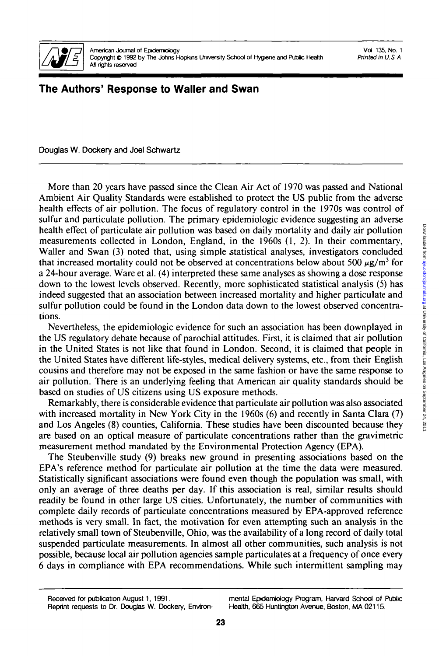

Vol 135, No. 1<br>Copynght © 1992 by The Johns Hopkins University School of Hygiene and Public Health Printed in U.S. A Copyright @ 1992 by The Johns Hopkins University School of Hygiene and Public Health Al rights reserved

# **The Authors' Response to Waller and Swan**

Douglas W. Dockery and Joel Schwartz

More than 20 years have passed since the Clean Air Act of 1970 was passed and National Ambient Air Quality Standards were established to protect the US public from the adverse health effects of air pollution. The focus of regulatory control in the 1970s was control of sulfur and paniculate pollution. The primary epidemiologic evidence suggesting an adverse health effect of particulate air pollution was based on daily mortality and daily air pollution measurements collected in London, England, in the 1960s (1, 2). In their commentary, Waller and Swan (3) noted that, using simple statistical analyses, investigators concluded that increased mortality could not be observed at concentrations below about 500  $\mu$ g/m<sup>3</sup> for a 24-hour average. Ware et al. (4) interpreted these same analyses as showing a dose response down to the lowest levels observed. Recently, more sophisticated statistical analysis (5) has indeed suggested that an association between increased mortality and higher particulate and sulfur pollution could be found in the London data down to the lowest observed concentrations.

Nevertheless, the epidemiologic evidence for such an association has been downplayed in the US regulatory debate because of parochial attitudes. First, it is claimed that air pollution in the United States is not like that found in London. Second, it is claimed that people in the United States have different life-styles, medical delivery systems, etc., from their English cousins and therefore may not be exposed in the same fashion or have the same response to air pollution. There is an underlying feeling that American air quality standards should be based on studies of US citizens using US exposure methods.

Remarkably, there is considerable evidence that particulate air pollution was also associated with increased mortality in New York City in the 1960s (6) and recently in Santa Clara (7) and Los Angeles (8) counties, California. These studies have been discounted because they are based on an optical measure of particulate concentrations rather than the gravimetric measurement method mandated by the Environmental Protection Agency (EPA).

The Steubenville study (9) breaks new ground in presenting associations based on the EPA's reference method for particulate air pollution at the time the data were measured. Statistically significant associations were found even though the population was small, with only an average of three deaths per day. If this association is real, similar results should readily be found in other large US cities. Unfortunately, the number of communities with complete daily records of particulate concentrations measured by EPA-approved reference methods is very small. In fact, the motivation for even attempting such an analysis in the relatively small town of Steubenville, Ohio, was the availability of a long record of daily total suspended particulate measurements. In almost all other communities, such analysis is not possible, because local air pollution agencies sample particulates at a frequency of once every 6 days in compliance with EPA recommendations. While such intermittent sampling may

Reprint requests to Dr. Douglas W. Dockery, Environ- Health, 665 Huntington Avenue, Boston, MA 02115.

Received for publication August 1, 1991. mental Epidemiology Program, Harvard School of Public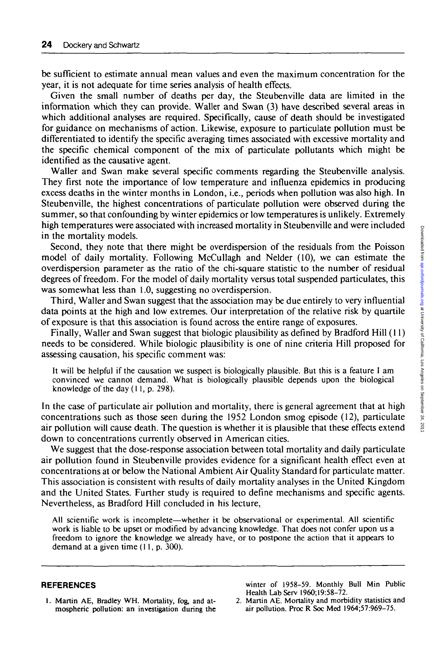be sufficient to estimate annual mean values and even the maximum concentration for the year, it is not adequate for time series analysis of health effects.

Given the small number of deaths per day, the Steubenville data are limited in the information which they can provide. Waller and Swan (3) have described several areas in which additional analyses are required. Specifically, cause of death should be investigated for guidance on mechanisms of action. Likewise, exposure to paniculate pollution must be differentiated to identify the specific averaging times associated with excessive mortality and the specific chemical component of the mix of particulate pollutants which might be identified as the causative agent.

Waller and Swan make several specific comments regarding the Steubenville analysis. They first note the importance of low temperature and influenza epidemics in producing excess deaths in the winter months in London, i.e., periods when pollution was also high. In Steubenville, the highest concentrations of particulate pollution were observed during the summer, so that confounding by winter epidemics or low temperatures is unlikely. Extremely high temperatures were associated with increased mortality in Steubenville and were included in the mortality models.

Second, they note that there might be overdispersion of the residuals from the Poisson model of daily mortality. Following McCullagh and Nelder (10), we can estimate the overdispersion parameter as the ratio of the chi-square statistic to the number of residual degrees of freedom. For the model of daily mortality versus total suspended particulates, this was somewhat less than 1.0, suggesting no overdispersion.

Third, Waller and Swan suggest that the association may be due entirely to very influential data points at the high and low extremes. Our interpretation of the relative risk by quartile of exposure is that this association is found across the entire range of exposures.

Finally, Waller and Swan suggest that biologic plausibility as defined by Bradford Hill (11) needs to be considered. While biologic plausibility is one of nine criteria Hill proposed for assessing causation, his specific comment was:

It will be helpful if the causation we suspect is biologically plausible. But this is a feature I am convinced we cannot demand. What is biologically plausible depends upon the biological knowledge of the day (11, p. 298).

In the case of particulate air pollution and mortality, there is general agreement that at high concentrations such as those seen during the 1952 London smog episode (12), particulate air pollution will cause death. The question is whether it is plausible that these effects extend down to concentrations currently observed in American cities.

We suggest that the dose-response association between total mortality and daily particulate air pollution found in Steubenville provides evidence for a significant health effect even at concentrations at or below the National Ambient Air Quality Standard for particulate matter. This association is consistent with results of daily mortality analyses in the United Kingdom and the United States. Further study is required to define mechanisms and specific agents. Nevertheless, as Bradford Hill concluded in his lecture,

All scientific work is incomplete—whether it be observational or experimental. All scientific work is liable to be upset or modified by advancing knowledge. That does not confer upon us a freedom to ignore the knowledge we already have, or to postpone the action that it appears to demand at a given time (11, p. 300).

1. Martin AE, Bradley WH. Mortality, fog, and at-<br>mospheric pollution: an investigation during the air pollution. Proc R Soc Med 1964;57:969–75. mospheric pollution: an investigation during the

REFERENCES winter of 1958-59. Monthly Bull Min Public Health Lab Serv I960;19:58-72.